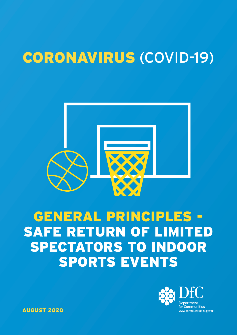# CORONAVIRUS (COVID-19)



# GENERAL PRINCIPLES - SAFE RETURN OF LIMITED SPECTATORS TO INDOOR SPORTS EVENTS



AUGUST 2020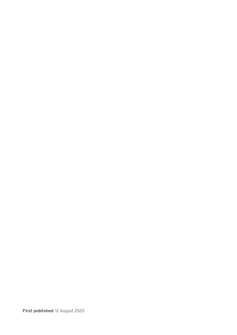**First published:** 12 August 2020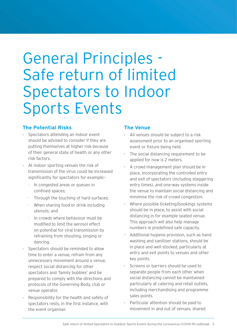# General Principles - Safe return of limited Spectators to Indoor Sports Events

## **The Potential Risks**

- Spectators attending an indoor event should be advised to consider if they are putting themselves at higher risk because of their general state of health or any other risk factors.
- At indoor sporting venues the risk of transmission of the virus could be increased significantly for spectators for example:-
	- In congested areas or queues in confined spaces;
	- Through the touching of hard surfaces;
	- When sharing food or drink including utensils; and
	- In crowds where behaviour must be modified to limit the aerosol effect on potential for viral transmission by refraining from shouting, singing or dancing.
- Spectators should be reminded to allow time to enter a venue, refrain from any unnecessary movement around a venue, respect social distancing for other spectators and 'family bubbles' and be prepared to comply with the directions and protocols of the Governing Body, club or venue operator.
- Responsibility for the health and safety of spectators rests, in the first instance, with the event organiser.

## **The Venue**

- All venues should be subject to a risk assessment prior to an organised sporting event or fixture being held.
- The social distancing requirement to be applied for now is 2 meters.
- A crowd management plan should be in place, incorporating the controlled entry and exit of spectators (including staggering entry times), and one-way systems inside the venue to maintain social distancing and minimise the risk of crowd congestion.
- Where possible ticketing/bookings systems should be in place, to assist with social distancing in for example seated venue. This approach will also help manage numbers ie predefined safe capacity.
- Additional hygiene provision, such as hand washing and sanitiser stations, should be in place and well stocked, particularly at entry and exit points to venues and other key points.
- Screens or barriers should be used to separate people from each other when social distancing cannot be maintained particularly at catering and retail outlets, including merchandising and programme sales points.
- Particular attention should be paid to movement in and out of venues, shared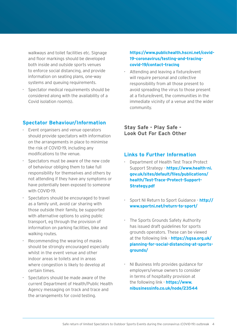walkways and toilet facilities etc. Signage and floor markings should be developed both inside and outside sports venues to enforce social distancing, and provide information on seating plans, one-way systems and queuing requirements.

• Spectator medical requirements should be considered along with the availability of a Covid isolation room(s).

### **Spectator Behaviour/Information**

- Event organisers and venue operators should provide spectators with information on the arrangements in place to minimise the risk of COVID-19, including any modifications to the venue.
- Spectators must be aware of the new code of behaviour obliging them to take full responsibility for themselves and others by not attending if they have any symptoms or have potentially been exposed to someone with COVID-19.
- Spectators should be encouraged to travel as a family unit, avoid car sharing with those outside their family, be supported with alternative options to using public transport, eg through the provision of information on parking facilities, bike and walking routes.
- Recommending the wearing of masks should be strongly encouraged especially whilst in the event venue and other indoor areas ie toilets and in areas where congestion is likely to develop at certain times.
- Spectators should be made aware of the current Department of Health/Public Health Agency messaging on track and trace and the arrangements for covid testing.

#### **[https://www.publichealth.hscni.net/covid-](https://www.publichealth.hscni.net/covid-19-coronavirus/testing-and-tracing-covid-19/contact-tracing)[19-coronavirus/testing-and-tracing](https://www.publichealth.hscni.net/covid-19-coronavirus/testing-and-tracing-covid-19/contact-tracing)[covid-19/contact-tracing](https://www.publichealth.hscni.net/covid-19-coronavirus/testing-and-tracing-covid-19/contact-tracing)**

• Attending and leaving a fixture/event will require personal and collective responsibility from all those present to avoid spreading the virus to those present at a fixture/event, the communities in the immediate vicinity of a venue and the wider community.

**Stay Safe - Play Safe - Look Out For Each Other** 

#### **Links to Further Information**

- Department of Health Test Trace Protect Support Strategy - **[https://www.health-ni.](https://www.health-ni.gov.uk/sites/default/files/publications/health/Test-Trace-Protect-Support-Strategy.pdf)  [gov.uk/sites/default/files/publications/](https://www.health-ni.gov.uk/sites/default/files/publications/health/Test-Trace-Protect-Support-Strategy.pdf) [health/Test-Trace-Protect-Support-](https://www.health-ni.gov.uk/sites/default/files/publications/health/Test-Trace-Protect-Support-Strategy.pdf)[Strategy.pdf](https://www.health-ni.gov.uk/sites/default/files/publications/health/Test-Trace-Protect-Support-Strategy.pdf)**
- Sport NI Return to Sport Guidance **[http://](http://www.sportni.net/return-to-sport/)  [www.sportni.net/return-to-sport/](http://www.sportni.net/return-to-sport/)**
- The Sports Grounds Safety Authority has issued draft guidelines for sports grounds operators. These can be viewed at the following link - **[https://sgsa.org.uk/](https://sgsa.org.uk/planning-for-social-distancing-at-sports-grounds/)  [planning-for-social-distancing-at-sports](https://sgsa.org.uk/planning-for-social-distancing-at-sports-grounds/)[grounds/](https://sgsa.org.uk/planning-for-social-distancing-at-sports-grounds/)**
- NI Business Info provides guidance for employers/venue owners to consider in terms of hospitality provision at the following link - **[https://www.](https://www.nibusinessinfo.co.uk/node/23544)  [nibusinessinfo.co.uk/node/23544](https://www.nibusinessinfo.co.uk/node/23544)**